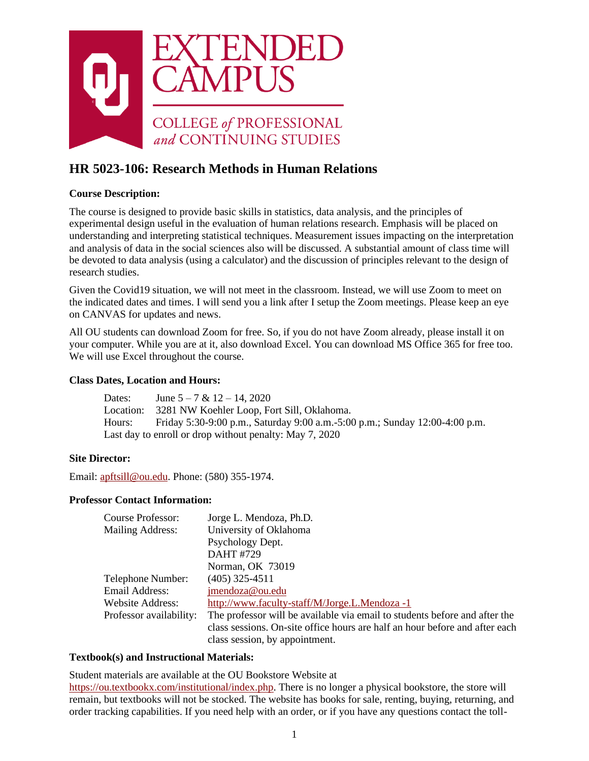

# **HR 5023-106: Research Methods in Human Relations**

## **Course Description:**

The course is designed to provide basic skills in statistics, data analysis, and the principles of experimental design useful in the evaluation of human relations research. Emphasis will be placed on understanding and interpreting statistical techniques. Measurement issues impacting on the interpretation and analysis of data in the social sciences also will be discussed. A substantial amount of class time will be devoted to data analysis (using a calculator) and the discussion of principles relevant to the design of research studies.

Given the Covid19 situation, we will not meet in the classroom. Instead, we will use Zoom to meet on the indicated dates and times. I will send you a link after I setup the Zoom meetings. Please keep an eye on CANVAS for updates and news.

All OU students can download Zoom for free. So, if you do not have Zoom already, please install it on your computer. While you are at it, also download Excel. You can download MS Office 365 for free too. We will use Excel throughout the course.

## **Class Dates, Location and Hours:**

Dates: June  $5 - 7 & 12 - 14,2020$ Location: 3281 NW Koehler Loop, Fort Sill, Oklahoma. Hours: Friday 5:30-9:00 p.m., Saturday 9:00 a.m.-5:00 p.m.; Sunday 12:00-4:00 p.m. Last day to enroll or drop without penalty: May 7, 2020

#### **Site Director:**

Email: [apftsill@ou.edu. P](mailto:apftsill@ou.edu)hone: (580) 355-1974.

#### **Professor Contact Information:**

| Course Professor:       | Jorge L. Mendoza, Ph.D.                                                     |
|-------------------------|-----------------------------------------------------------------------------|
| Mailing Address:        | University of Oklahoma                                                      |
|                         | Psychology Dept.                                                            |
|                         | DAHT#729                                                                    |
|                         | Norman, OK 73019                                                            |
| Telephone Number:       | $(405)$ 325-4511                                                            |
| Email Address:          | jmendoza@ou.edu                                                             |
| Website Address:        | http://www.faculty-staff/M/Jorge.L.Mendoza -1                               |
| Professor availability: | The professor will be available via email to students before and after the  |
|                         | class sessions. On-site office hours are half an hour before and after each |
|                         | class session, by appointment.                                              |

#### **Textbook(s) and Instructional Materials:**

Student materials are available at the OU Bookstore Website at

[https://ou.textbookx.com/institutional/index.php. T](https://ou.textbookx.com/institutional/index.php)here is no longer a physical bookstore, the store will remain, but textbooks will not be stocked. The website has books for sale, renting, buying, returning, and order tracking capabilities. If you need help with an order, or if you have any questions contact the toll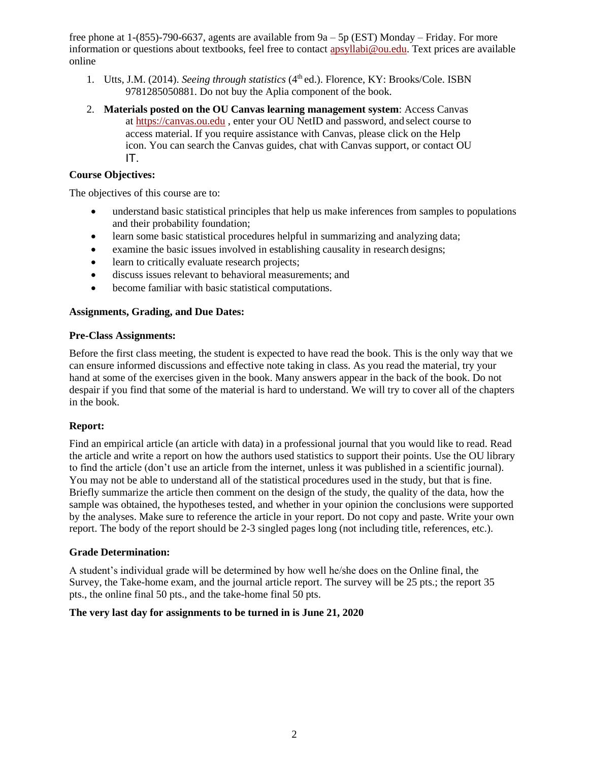free phone at 1-(855)-790-6637, agents are available from 9a – 5p (EST) Monday – Friday. For more information or questions about textbooks, feel free to contact [apsyllabi@ou.edu. T](mailto:apsyllabi@ou.edu)ext prices are available online

- 1. Utts, J.M. (2014). *Seeing through statistics* (4<sup>th</sup> ed.). Florence, KY: Brooks/Cole. ISBN 9781285050881. Do not buy the Aplia component of the book.
- 2. **Materials posted on the OU Canvas learning management system**: Access Canvas at [https://canvas.ou.edu](https://canvas.ou.edu/) , enter your OU NetID and password, and select course to access material. If you require assistance with Canvas, please click on the Help icon. You can search the Canvas guides, chat with Canvas support, or contact OU IT.

## **Course Objectives:**

The objectives of this course are to:

- understand basic statistical principles that help us make inferences from samples to populations and their probability foundation;
- learn some basic statistical procedures helpful in summarizing and analyzing data;
- examine the basic issues involved in establishing causality in research designs;
- learn to critically evaluate research projects;
- discuss issues relevant to behavioral measurements; and
- become familiar with basic statistical computations.

#### **Assignments, Grading, and Due Dates:**

#### **Pre-Class Assignments:**

Before the first class meeting, the student is expected to have read the book. This is the only way that we can ensure informed discussions and effective note taking in class. As you read the material, try your hand at some of the exercises given in the book. Many answers appear in the back of the book. Do not despair if you find that some of the material is hard to understand. We will try to cover all of the chapters in the book.

#### **Report:**

Find an empirical article (an article with data) in a professional journal that you would like to read. Read the article and write a report on how the authors used statistics to support their points. Use the OU library to find the article (don't use an article from the internet, unless it was published in a scientific journal). You may not be able to understand all of the statistical procedures used in the study, but that is fine. Briefly summarize the article then comment on the design of the study, the quality of the data, how the sample was obtained, the hypotheses tested, and whether in your opinion the conclusions were supported by the analyses. Make sure to reference the article in your report. Do not copy and paste. Write your own report. The body of the report should be 2-3 singled pages long (not including title, references, etc.).

#### **Grade Determination:**

A student's individual grade will be determined by how well he/she does on the Online final, the Survey, the Take-home exam, and the journal article report. The survey will be 25 pts.; the report 35 pts., the online final 50 pts., and the take-home final 50 pts.

#### **The very last day for assignments to be turned in is June 21, 2020**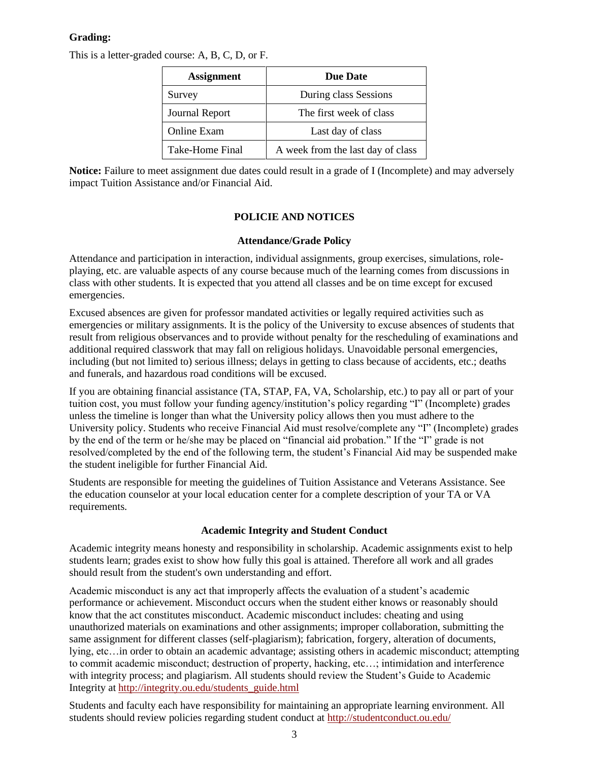## **Grading:**

This is a letter-graded course: A, B, C, D, or F.

| <b>Assignment</b>  | <b>Due Date</b>                   |
|--------------------|-----------------------------------|
| Survey             | During class Sessions             |
| Journal Report     | The first week of class           |
| <b>Online Exam</b> | Last day of class                 |
| Take-Home Final    | A week from the last day of class |

**Notice:** Failure to meet assignment due dates could result in a grade of I (Incomplete) and may adversely impact Tuition Assistance and/or Financial Aid.

## **POLICIE AND NOTICES**

#### **Attendance/Grade Policy**

Attendance and participation in interaction, individual assignments, group exercises, simulations, roleplaying, etc. are valuable aspects of any course because much of the learning comes from discussions in class with other students. It is expected that you attend all classes and be on time except for excused emergencies.

Excused absences are given for professor mandated activities or legally required activities such as emergencies or military assignments. It is the policy of the University to excuse absences of students that result from religious observances and to provide without penalty for the rescheduling of examinations and additional required classwork that may fall on religious holidays. Unavoidable personal emergencies, including (but not limited to) serious illness; delays in getting to class because of accidents, etc.; deaths and funerals, and hazardous road conditions will be excused.

If you are obtaining financial assistance (TA, STAP, FA, VA, Scholarship, etc.) to pay all or part of your tuition cost, you must follow your funding agency/institution's policy regarding "I" (Incomplete) grades unless the timeline is longer than what the University policy allows then you must adhere to the University policy. Students who receive Financial Aid must resolve/complete any "I" (Incomplete) grades by the end of the term or he/she may be placed on "financial aid probation." If the "I" grade is not resolved/completed by the end of the following term, the student's Financial Aid may be suspended make the student ineligible for further Financial Aid.

Students are responsible for meeting the guidelines of Tuition Assistance and Veterans Assistance. See the education counselor at your local education center for a complete description of your TA or VA requirements.

#### **Academic Integrity and Student Conduct**

Academic integrity means honesty and responsibility in scholarship. Academic assignments exist to help students learn; grades exist to show how fully this goal is attained. Therefore all work and all grades should result from the student's own understanding and effort.

Academic misconduct is any act that improperly affects the evaluation of a student's academic performance or achievement. Misconduct occurs when the student either knows or reasonably should know that the act constitutes misconduct. Academic misconduct includes: cheating and using unauthorized materials on examinations and other assignments; improper collaboration, submitting the same assignment for different classes (self-plagiarism); fabrication, forgery, alteration of documents, lying, etc…in order to obtain an academic advantage; assisting others in academic misconduct; attempting to commit academic misconduct; destruction of property, hacking, etc…; intimidation and interference with integrity process; and plagiarism. All students should review the Student's Guide to Academic Integrity at [http://integrity.ou.edu/students\\_guide.html](http://integrity.ou.edu/students_guide.html)

Students and faculty each have responsibility for maintaining an appropriate learning environment. All students should review policies regarding student conduct at<http://studentconduct.ou.edu/>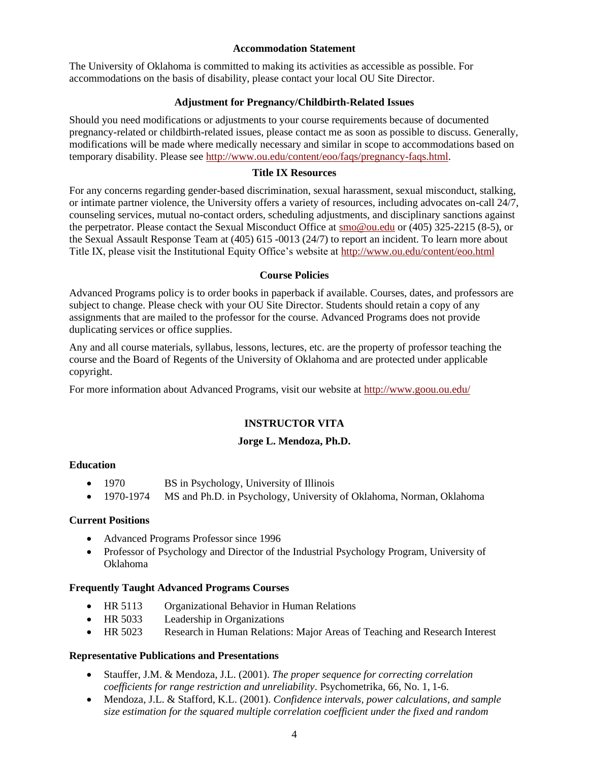#### **Accommodation Statement**

The University of Oklahoma is committed to making its activities as accessible as possible. For accommodations on the basis of disability, please contact your local OU Site Director.

#### **Adjustment for Pregnancy/Childbirth-Related Issues**

Should you need modifications or adjustments to your course requirements because of documented pregnancy-related or childbirth-related issues, please contact me as soon as possible to discuss. Generally, modifications will be made where medically necessary and similar in scope to accommodations based on temporary disability. Please see [http://www.ou.edu/content/eoo/faqs/pregnancy-faqs.html.](http://www.ou.edu/content/eoo/faqs/pregnancy-faqs.html)

#### **Title IX Resources**

For any concerns regarding gender-based discrimination, sexual harassment, sexual misconduct, stalking, or intimate partner violence, the University offers a variety of resources, including advocates on-call 24/7, counseling services, mutual no-contact orders, scheduling adjustments, and disciplinary sanctions against the perpetrator. Please contact the Sexual Misconduct Office at  $\frac{\text{smo@ou.edu}}{\text{smo@ou.edu}}$  or (405) 325-2215 (8-5), or the Sexual Assault Response Team at (405) 615 -0013 (24/7) to report an incident. To learn more about Title IX, please visit the Institutional Equity Office's website at<http://www.ou.edu/content/eoo.html>

#### **Course Policies**

Advanced Programs policy is to order books in paperback if available. Courses, dates, and professors are subject to change. Please check with your OU Site Director. Students should retain a copy of any assignments that are mailed to the professor for the course. Advanced Programs does not provide duplicating services or office supplies.

Any and all course materials, syllabus, lessons, lectures, etc. are the property of professor teaching the course and the Board of Regents of the University of Oklahoma and are protected under applicable copyright.

For more information about Advanced Programs, visit our website at<http://www.goou.ou.edu/>

## **INSTRUCTOR VITA**

#### **Jorge L. Mendoza, Ph.D.**

#### **Education**

- 1970 BS in Psychology, University of Illinois
- 1970-1974 MS and Ph.D. in Psychology, University of Oklahoma, Norman, Oklahoma

#### **Current Positions**

- Advanced Programs Professor since 1996
- Professor of Psychology and Director of the Industrial Psychology Program, University of Oklahoma

#### **Frequently Taught Advanced Programs Courses**

- HR 5113 Organizational Behavior in Human Relations
- HR 5033 Leadership in Organizations
- HR 5023 Research in Human Relations: Major Areas of Teaching and Research Interest

### **Representative Publications and Presentations**

- Stauffer, J.M. & Mendoza, J.L. (2001). *The proper sequence for correcting correlation coefficients for range restriction and unreliability*. Psychometrika, 66, No. 1, 1-6.
- Mendoza, J.L. & Stafford, K.L. (2001). *Confidence intervals, power calculations, and sample size estimation for the squared multiple correlation coefficient under the fixed and random*